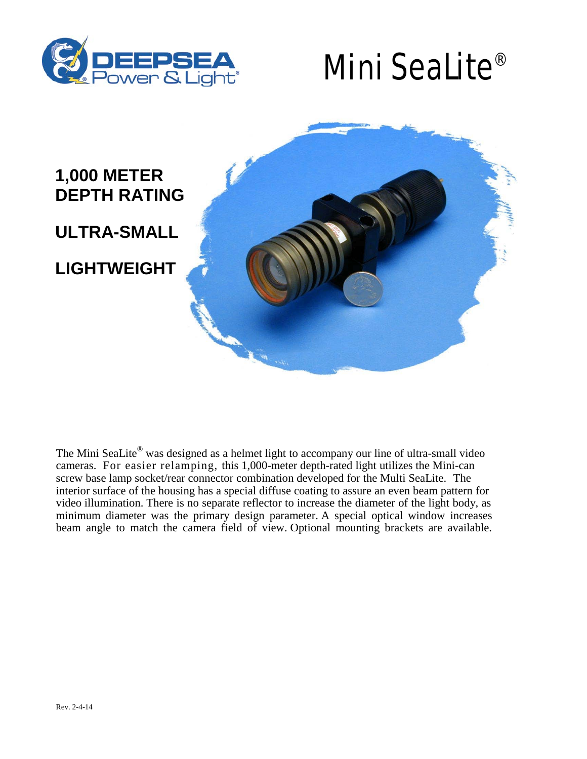

## Mini SeaLite®



The Mini SeaLite<sup>®</sup> was designed as a helmet light to accompany our line of ultra-small video cameras. For easier relamping, this 1,000-meter depth-rated light utilizes the Mini-can screw base lamp socket/rear connector combination developed for the Multi SeaLite. The interior surface of the housing has a special diffuse coating to assure an even beam pattern for video illumination. There is no separate reflector to increase the diameter of the light body, as minimum diameter was the primary design parameter. A special optical window increases beam angle to match the camera field of view. Optional mounting brackets are available.